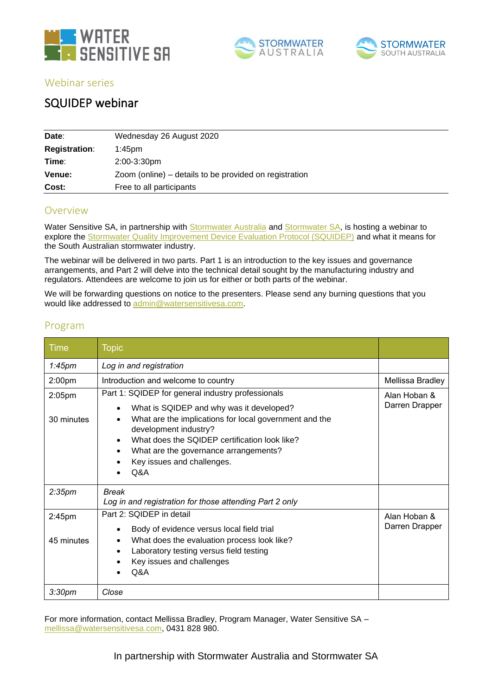





Webinar series

# SQUIDEP webinar

| Date:                | Wednesday 26 August 2020                               |
|----------------------|--------------------------------------------------------|
| <b>Registration:</b> | $1:45$ pm                                              |
| Time:                | 2:00-3:30pm                                            |
| Venue:               | Zoom (online) – details to be provided on registration |
| Cost:                | Free to all participants                               |

## Overview

Water Sensitive SA, in partnership with [Stormwater Australia](https://www.stormwater.asn.au/) and [Stormwater SA,](https://www.stormwatersa.asn.au/) is hosting a webinar to explore the [Stormwater Quality Improvement Device Evaluation Protocol \(SQUIDEP\)](https://www.stormwater.asn.au/sqidep) and what it means for the South Australian stormwater industry.

The webinar will be delivered in two parts. Part 1 is an introduction to the key issues and governance arrangements, and Part 2 will delve into the technical detail sought by the manufacturing industry and regulators. Attendees are welcome to join us for either or both parts of the webinar.

We will be forwarding questions on notice to the presenters. Please send any burning questions that you would like addressed to [admin@watersensitivesa.com.](admin@watersensitivesa.com)

## Program

| <b>Time</b>             | <b>Topic</b>                                                                                                                                                                                                                                                                                                                 |                                |
|-------------------------|------------------------------------------------------------------------------------------------------------------------------------------------------------------------------------------------------------------------------------------------------------------------------------------------------------------------------|--------------------------------|
| 1:45 <sub>pm</sub>      | Log in and registration                                                                                                                                                                                                                                                                                                      |                                |
| 2:00 <sub>pm</sub>      | Introduction and welcome to country                                                                                                                                                                                                                                                                                          | Mellissa Bradley               |
| 2:05pm<br>30 minutes    | Part 1: SQIDEP for general industry professionals<br>What is SQIDEP and why was it developed?<br>$\bullet$<br>What are the implications for local government and the<br>development industry?<br>What does the SQIDEP certification look like?<br>What are the governance arrangements?<br>Key issues and challenges.<br>Q&A | Alan Hoban &<br>Darren Drapper |
| 2:35 <sub>pm</sub>      | <b>Break</b><br>Log in and registration for those attending Part 2 only                                                                                                                                                                                                                                                      |                                |
| $2:45$ pm<br>45 minutes | Part 2: SQIDEP in detail<br>Body of evidence versus local field trial<br>What does the evaluation process look like?<br>Laboratory testing versus field testing<br>Key issues and challenges<br>Q&A                                                                                                                          | Alan Hoban &<br>Darren Drapper |
| 3:30 <sub>pm</sub>      | Close                                                                                                                                                                                                                                                                                                                        |                                |

For more information, contact Mellissa Bradley, Program Manager, Water Sensitive SA – [mellissa@watersensitivesa.com,](mailto:mellissa@watersensitivesa.com) 0431 828 980.